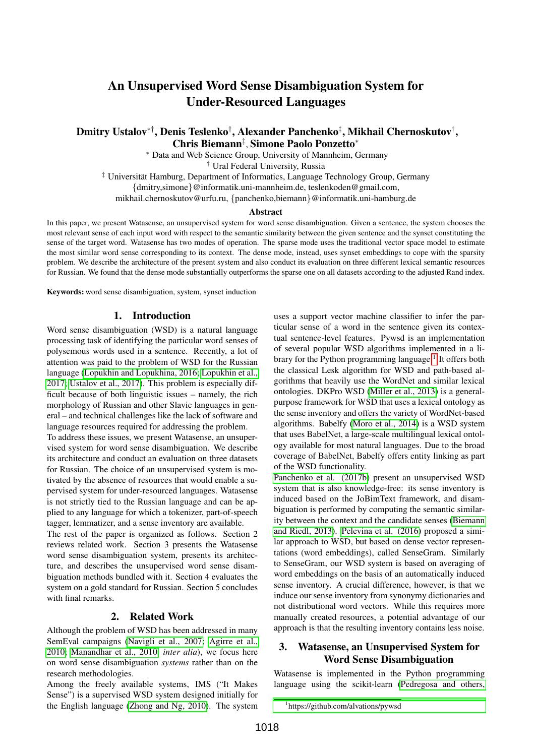# An Unsupervised Word Sense Disambiguation System for Under-Resourced Languages

# Dmitry Ustalov\*†, Denis Teslenko†, Alexander Panchenko‡, Mikhail Chernoskutov†, Chris Biemann‡ , Simone Paolo Ponzetto<sup>∗</sup>

<sup>∗</sup> Data and Web Science Group, University of Mannheim, Germany

† Ural Federal University, Russia

<sup>‡</sup> Universität Hamburg, Department of Informatics, Language Technology Group, Germany

{dmitry,simone}@informatik.uni-mannheim.de, teslenkoden@gmail.com,

mikhail.chernoskutov@urfu.ru, {panchenko,biemann}@informatik.uni-hamburg.de

#### **Abstract**

In this paper, we present Watasense, an unsupervised system for word sense disambiguation. Given a sentence, the system chooses the most relevant sense of each input word with respect to the semantic similarity between the given sentence and the synset constituting the sense of the target word. Watasense has two modes of operation. The sparse mode uses the traditional vector space model to estimate the most similar word sense corresponding to its context. The dense mode, instead, uses synset embeddings to cope with the sparsity problem. We describe the architecture of the present system and also conduct its evaluation on three different lexical semantic resources for Russian. We found that the dense mode substantially outperforms the sparse one on all datasets according to the adjusted Rand index.

Keywords: word sense disambiguation, system, synset induction

#### 1. Introduction

Word sense disambiguation (WSD) is a natural language processing task of identifying the particular word senses of polysemous words used in a sentence. Recently, a lot of attention was paid to the problem of WSD for the Russian language [\(Lopukhin and Lopukhina, 2016;](#page-4-0) [Lopukhin et al.,](#page-4-1) [2017;](#page-4-1) [Ustalov et al., 2017\)](#page-4-2). This problem is especially difficult because of both linguistic issues – namely, the rich morphology of Russian and other Slavic languages in general – and technical challenges like the lack of software and language resources required for addressing the problem.

To address these issues, we present Watasense, an unsupervised system for word sense disambiguation. We describe its architecture and conduct an evaluation on three datasets for Russian. The choice of an unsupervised system is motivated by the absence of resources that would enable a supervised system for under-resourced languages. Watasense is not strictly tied to the Russian language and can be applied to any language for which a tokenizer, part-of-speech tagger, lemmatizer, and a sense inventory are available.

The rest of the paper is organized as follows. Section 2 reviews related work. Section 3 presents the Watasense word sense disambiguation system, presents its architecture, and describes the unsupervised word sense disambiguation methods bundled with it. Section 4 evaluates the system on a gold standard for Russian. Section 5 concludes with final remarks.

### 2. Related Work

Although the problem of WSD has been addressed in many SemEval campaigns [\(Navigli et al., 2007;](#page-4-3) [Agirre et al.,](#page-3-0) [2010;](#page-3-0) [Manandhar et al., 2010,](#page-4-4) *inter alia*), we focus here on word sense disambiguation *systems* rather than on the research methodologies.

Among the freely available systems, IMS ("It Makes Sense") is a supervised WSD system designed initially for the English language [\(Zhong and Ng, 2010\)](#page-4-5). The system uses a support vector machine classifier to infer the particular sense of a word in the sentence given its contextual sentence-level features. Pywsd is an implementation of several popular WSD algorithms implemented in a li-brary for the Python programming language.<sup>[1](#page-0-0)</sup> It offers both the classical Lesk algorithm for WSD and path-based algorithms that heavily use the WordNet and similar lexical ontologies. DKPro WSD [\(Miller et al., 2013\)](#page-4-6) is a generalpurpose framework for WSD that uses a lexical ontology as the sense inventory and offers the variety of WordNet-based algorithms. Babelfy [\(Moro et al., 2014\)](#page-4-7) is a WSD system that uses BabelNet, a large-scale multilingual lexical ontology available for most natural languages. Due to the broad coverage of BabelNet, Babelfy offers entity linking as part of the WSD functionality.

[Panchenko et al. \(2017b\)](#page-4-8) present an unsupervised WSD system that is also knowledge-free: its sense inventory is induced based on the JoBimText framework, and disambiguation is performed by computing the semantic similarity between the context and the candidate senses [\(Biemann](#page-4-9) [and Riedl, 2013\)](#page-4-9). [Pelevina et al. \(2016\)](#page-4-10) proposed a similar approach to WSD, but based on dense vector representations (word embeddings), called SenseGram. Similarly to SenseGram, our WSD system is based on averaging of word embeddings on the basis of an automatically induced sense inventory. A crucial difference, however, is that we induce our sense inventory from synonymy dictionaries and not distributional word vectors. While this requires more manually created resources, a potential advantage of our approach is that the resulting inventory contains less noise.

# 3. Watasense, an Unsupervised System for Word Sense Disambiguation

Watasense is implemented in the Python programming language using the scikit-learn [\(Pedregosa and others,](#page-4-11)

<span id="page-0-0"></span><sup>1</sup> [https://github.com/alvations/pywsd](#page-4-11)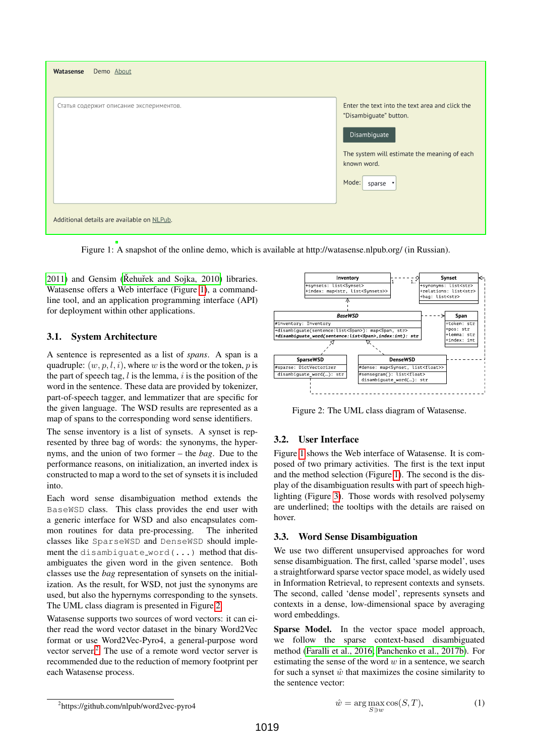

Figure 1: A snapshot of the online demo, which is available at http://watasense.nlpub.org/ (in Russian).

<span id="page-1-0"></span> $2011$ ) and Gensim (Rehuřek and Sojka,  $2010$ ) libraries. Watasense offers a Web interface (Figure [1\)](#page-1-0), a commandline tool, and an application programming interface (API) for deployment within other applications.

# 3.1. System Architecture

A sentence is represented as a list of *spans*. A span is a quadruple:  $(w, p, l, i)$ , where w is the word or the token, p is the part of speech tag,  $l$  is the lemma,  $i$  is the position of the word in the sentence. These data are provided by tokenizer, part-of-speech tagger, and lemmatizer that are specific for the given language. The WSD results are represented as a map of spans to the corresponding word sense identifiers.

The sense inventory is a list of synsets. A synset is represented by three bag of words: the synonyms, the hypernyms, and the union of two former – the *bag*. Due to the performance reasons, on initialization, an inverted index is constructed to map a word to the set of synsets it is included into.

Each word sense disambiguation method extends the BaseWSD class. This class provides the end user with a generic interface for WSD and also encapsulates common routines for data pre-processing. The inherited classes like SparseWSD and DenseWSD should implement the disambiguate word(...) method that disambiguates the given word in the given sentence. Both classes use the *bag* representation of synsets on the initialization. As the result, for WSD, not just the synonyms are used, but also the hypernyms corresponding to the synsets. The UML class diagram is presented in Figure [2.](#page-1-1)

Watasense supports two sources of word vectors: it can either read the word vector dataset in the binary Word2Vec format or use Word2Vec-Pyro4, a general-purpose word vector server.[2](#page-1-2) The use of a remote word vector server is recommended due to the reduction of memory footprint per each Watasense process.



<span id="page-1-1"></span>Figure 2: The UML class diagram of Watasense.

# 3.2. User Interface

Figure [1](#page-1-0) shows the Web interface of Watasense. It is composed of two primary activities. The first is the text input and the method selection (Figure [1\)](#page-1-0). The second is the display of the disambiguation results with part of speech highlighting (Figure [3\)](#page-2-0). Those words with resolved polysemy are underlined; the tooltips with the details are raised on hover.

# 3.3. Word Sense Disambiguation

We use two different unsupervised approaches for word sense disambiguation. The first, called 'sparse model', uses a straightforward sparse vector space model, as widely used in Information Retrieval, to represent contexts and synsets. The second, called 'dense model', represents synsets and contexts in a dense, low-dimensional space by averaging word embeddings.

Sparse Model. In the vector space model approach, we follow the sparse context-based disambiguated method [\(Faralli et al., 2016;](#page-4-13) [Panchenko et al., 2017b\)](#page-4-8). For estimating the sense of the word  $w$  in a sentence, we search for such a synset  $\hat{w}$  that maximizes the cosine similarity to the sentence vector:

$$
\hat{w} = \arg\max_{S \ni w} \cos(S, T),\tag{1}
$$

<span id="page-1-2"></span><sup>2</sup> https://github.com/nlpub/word2vec-pyro4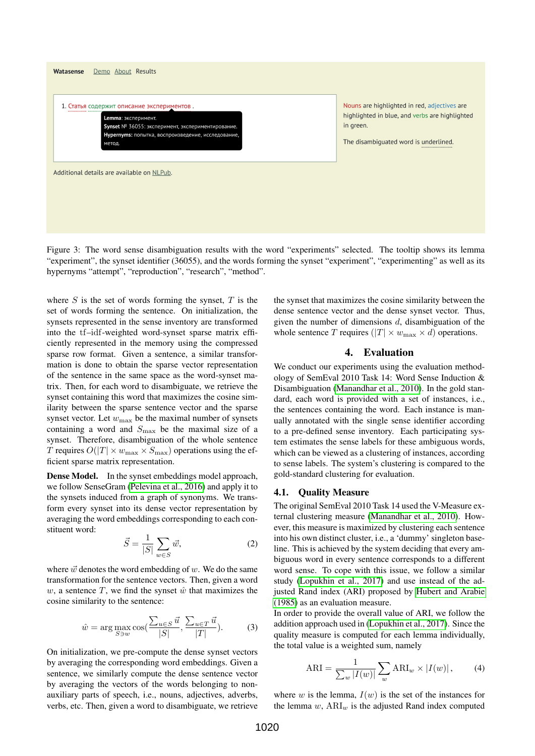

<span id="page-2-0"></span>Figure 3: The word sense disambiguation results with the word "experiments" selected. The tooltip shows its lemma "experiment", the synset identifier (36055), and the words forming the synset "experiment", "experimenting" as well as its hypernyms "attempt", "reproduction", "research", "method".

where  $S$  is the set of words forming the synset,  $T$  is the set of words forming the sentence. On initialization, the synsets represented in the sense inventory are transformed into the tf–idf-weighted word-synset sparse matrix efficiently represented in the memory using the compressed sparse row format. Given a sentence, a similar transformation is done to obtain the sparse vector representation of the sentence in the same space as the word-synset matrix. Then, for each word to disambiguate, we retrieve the synset containing this word that maximizes the cosine similarity between the sparse sentence vector and the sparse synset vector. Let  $w_{\text{max}}$  be the maximal number of synsets containing a word and  $S_{\text{max}}$  be the maximal size of a synset. Therefore, disambiguation of the whole sentence T requires  $O(|T| \times w_{\text{max}} \times S_{\text{max}})$  operations using the efficient sparse matrix representation.

Dense Model. In the synset embeddings model approach, we follow SenseGram [\(Pelevina et al., 2016\)](#page-4-10) and apply it to the synsets induced from a graph of synonyms. We transform every synset into its dense vector representation by averaging the word embeddings corresponding to each constituent word:

$$
\vec{S} = \frac{1}{|S|} \sum_{w \in S} \vec{w},\tag{2}
$$

where  $\vec{w}$  denotes the word embedding of w. We do the same transformation for the sentence vectors. Then, given a word w, a sentence  $T$ , we find the synset  $\hat{w}$  that maximizes the cosine similarity to the sentence:

$$
\hat{w} = \arg \max_{S \ni w} \cos \left( \frac{\sum_{u \in S} \vec{u}}{|S|}, \frac{\sum_{u \in T} \vec{u}}{|T|} \right).
$$
 (3)

On initialization, we pre-compute the dense synset vectors by averaging the corresponding word embeddings. Given a sentence, we similarly compute the dense sentence vector by averaging the vectors of the words belonging to nonauxiliary parts of speech, i.e., nouns, adjectives, adverbs, verbs, etc. Then, given a word to disambiguate, we retrieve the synset that maximizes the cosine similarity between the dense sentence vector and the dense synset vector. Thus, given the number of dimensions  $d$ , disambiguation of the whole sentence T requires ( $|T| \times w_{\text{max}} \times d$ ) operations.

### 4. Evaluation

We conduct our experiments using the evaluation methodology of SemEval 2010 Task 14: Word Sense Induction & Disambiguation [\(Manandhar et al., 2010\)](#page-4-4). In the gold standard, each word is provided with a set of instances, i.e., the sentences containing the word. Each instance is manually annotated with the single sense identifier according to a pre-defined sense inventory. Each participating system estimates the sense labels for these ambiguous words, which can be viewed as a clustering of instances, according to sense labels. The system's clustering is compared to the gold-standard clustering for evaluation.

#### 4.1. Quality Measure

The original SemEval 2010 Task 14 used the V-Measure external clustering measure [\(Manandhar et al., 2010\)](#page-4-4). However, this measure is maximized by clustering each sentence into his own distinct cluster, i.e., a 'dummy' singleton baseline. This is achieved by the system deciding that every ambiguous word in every sentence corresponds to a different word sense. To cope with this issue, we follow a similar study [\(Lopukhin et al., 2017\)](#page-4-1) and use instead of the adjusted Rand index (ARI) proposed by [Hubert and Arabie](#page-4-14) [\(1985\)](#page-4-14) as an evaluation measure.

In order to provide the overall value of ARI, we follow the addition approach used in [\(Lopukhin et al., 2017\)](#page-4-1). Since the quality measure is computed for each lemma individually, the total value is a weighted sum, namely

<span id="page-2-1"></span>
$$
\text{ARI} = \frac{1}{\sum_{w} |I(w)|} \sum_{w} \text{ARI}_{w} \times |I(w)| \,, \tag{4}
$$

where w is the lemma,  $I(w)$  is the set of the instances for the lemma  $w$ ,  $ARI_w$  is the adjusted Rand index computed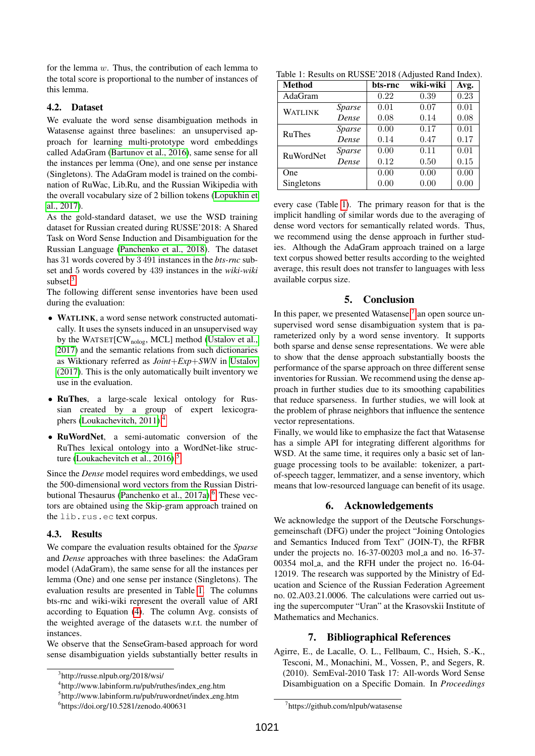for the lemma w. Thus, the contribution of each lemma to the total score is proportional to the number of instances of this lemma.

#### 4.2. Dataset

We evaluate the word sense disambiguation methods in Watasense against three baselines: an unsupervised approach for learning multi-prototype word embeddings called AdaGram [\(Bartunov et al., 2016\)](#page-4-15), same sense for all the instances per lemma (One), and one sense per instance (Singletons). The AdaGram model is trained on the combination of RuWac, Lib.Ru, and the Russian Wikipedia with the overall vocabulary size of 2 billion tokens [\(Lopukhin et](#page-4-1) [al., 2017\)](#page-4-1).

As the gold-standard dataset, we use the WSD training dataset for Russian created during RUSSE'2018: A Shared Task on Word Sense Induction and Disambiguation for the Russian Language [\(Panchenko et al., 2018\)](#page-4-16). The dataset has 31 words covered by 3 491 instances in the *bts-rnc* subset and 5 words covered by 439 instances in the *wiki-wiki* subset.<sup>[3](#page-3-1)</sup>

The following different sense inventories have been used during the evaluation:

- WATLINK, a word sense network constructed automatically. It uses the synsets induced in an unsupervised way by the WATSET[CW<sub>nolog</sub>, MCL] method [\(Ustalov et al.,](#page-4-2) [2017\)](#page-4-2) and the semantic relations from such dictionaries as Wiktionary referred as *Joint*+*Exp*+*SWN* in [Ustalov](#page-4-17) [\(2017\)](#page-4-17). This is the only automatically built inventory we use in the evaluation.
- RuThes, a large-scale lexical ontology for Russian created by a group of expert lexicogra-phers [\(Loukachevitch, 2011\)](#page-4-18).<sup>[4](#page-3-2)</sup>
- RuWordNet, a semi-automatic conversion of the RuThes lexical ontology into a WordNet-like structure (Loukachevitch et al.,  $2016$ ).<sup>[5](#page-3-3)</sup>

Since the *Dense* model requires word embeddings, we used the 500-dimensional word vectors from the Russian Distri-butional Thesaurus [\(Panchenko et al., 2017a\)](#page-4-20).<sup>[6](#page-3-4)</sup> These vectors are obtained using the Skip-gram approach trained on the lib.rus.ec text corpus.

### 4.3. Results

We compare the evaluation results obtained for the *Sparse* and *Dense* approaches with three baselines: the AdaGram model (AdaGram), the same sense for all the instances per lemma (One) and one sense per instance (Singletons). The evaluation results are presented in Table [1.](#page-3-5) The columns bts-rnc and wiki-wiki represent the overall value of ARI according to Equation [\(4\)](#page-2-1). The column Avg. consists of the weighted average of the datasets w.r.t. the number of instances.

We observe that the SenseGram-based approach for word sense disambiguation yields substantially better results in

Table 1: Results on RUSSE'2018 (Adjusted Rand Index).

<span id="page-3-5"></span>

| <b>Method</b>    |               | bts-rnc | wiki-wiki | Avg. |
|------------------|---------------|---------|-----------|------|
| AdaGram          |               | 0.22    | 0.39      | 0.23 |
| <b>WATLINK</b>   | Sparse        | 0.01    | 0.07      | 0.01 |
|                  | Dense         | 0.08    | 0.14      | 0.08 |
| <b>RuThes</b>    | Sparse        | 0.00    | 0.17      | 0.01 |
|                  | Dense         | 0.14    | 0.47      | 0.17 |
| <b>RuWordNet</b> | <i>Sparse</i> | 0.00    | 0.11      | 0.01 |
|                  | Dense         | 0.12    | 0.50      | 0.15 |
| One              |               | 0.00    | 0.00      | 0.00 |
| Singletons       |               | 0.00    | 0.00      | 0.00 |

every case (Table [1\)](#page-3-5). The primary reason for that is the implicit handling of similar words due to the averaging of dense word vectors for semantically related words. Thus, we recommend using the dense approach in further studies. Although the AdaGram approach trained on a large text corpus showed better results according to the weighted average, this result does not transfer to languages with less available corpus size.

# 5. Conclusion

In this paper, we presented Watasense,<sup>[7](#page-3-6)</sup> an open source unsupervised word sense disambiguation system that is parameterized only by a word sense inventory. It supports both sparse and dense sense representations. We were able to show that the dense approach substantially boosts the performance of the sparse approach on three different sense inventories for Russian. We recommend using the dense approach in further studies due to its smoothing capabilities that reduce sparseness. In further studies, we will look at the problem of phrase neighbors that influence the sentence vector representations.

Finally, we would like to emphasize the fact that Watasense has a simple API for integrating different algorithms for WSD. At the same time, it requires only a basic set of language processing tools to be available: tokenizer, a partof-speech tagger, lemmatizer, and a sense inventory, which means that low-resourced language can benefit of its usage.

### 6. Acknowledgements

We acknowledge the support of the Deutsche Forschungsgemeinschaft (DFG) under the project "Joining Ontologies and Semantics Induced from Text" (JOIN-T), the RFBR under the projects no. 16-37-00203 mol a and no. 16-37-00354 mol<sub>a</sub>, and the RFH under the project no. 16-04-12019. The research was supported by the Ministry of Education and Science of the Russian Federation Agreement no. 02.A03.21.0006. The calculations were carried out using the supercomputer "Uran" at the Krasovskii Institute of Mathematics and Mechanics.

#### 7. Bibliographical References

<span id="page-3-0"></span>Agirre, E., de Lacalle, O. L., Fellbaum, C., Hsieh, S.-K., Tesconi, M., Monachini, M., Vossen, P., and Segers, R. (2010). SemEval-2010 Task 17: All-words Word Sense Disambiguation on a Specific Domain. In *Proceedings*

<span id="page-3-1"></span><sup>3</sup> http://russe.nlpub.org/2018/wsi/

<span id="page-3-2"></span><sup>&</sup>lt;sup>4</sup>http://www.labinform.ru/pub/ruthes/index\_eng.htm

<span id="page-3-3"></span><sup>&</sup>lt;sup>5</sup>http://www.labinform.ru/pub/ruwordnet/index\_eng.htm

<span id="page-3-4"></span><sup>6</sup> https://doi.org/10.5281/zenodo.400631

<span id="page-3-6"></span><sup>7</sup> https://github.com/nlpub/watasense